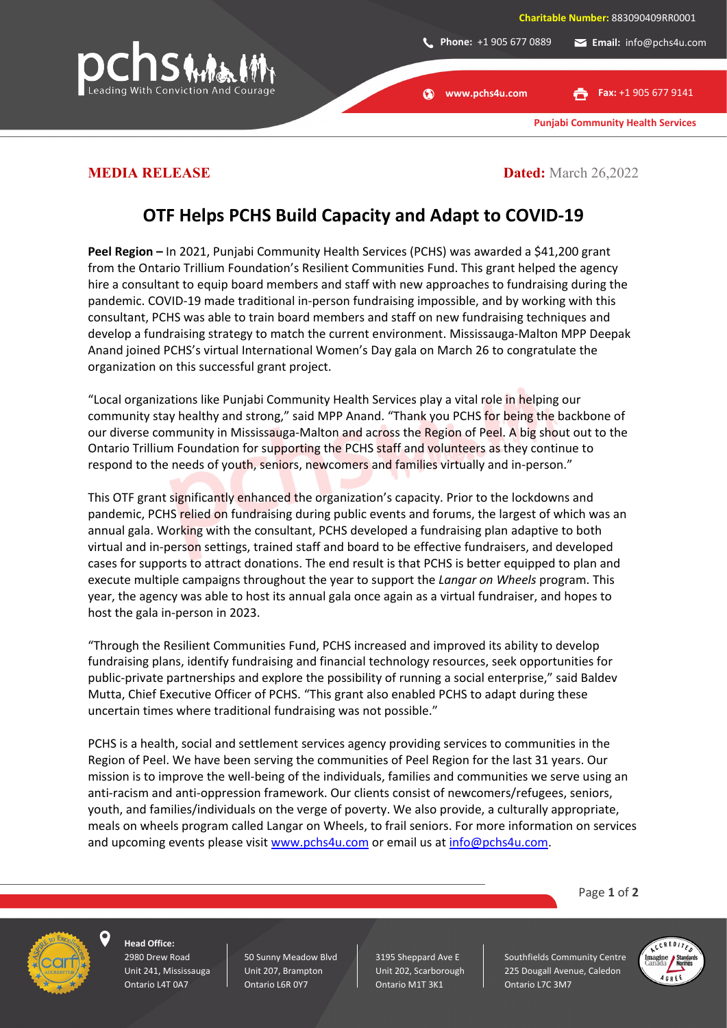

**www.pchs4u.com**

G)

**Fax:** +1 905 677 9141

**Punjabi Community Health Services**

**MEDIA RELEASE Dated:** March 26,2022

## **OTF Helps PCHS Build Capacity and Adapt to COVID-19**

Peel Region – In 2021, Punjabi Community Health Services (PCHS) was awarded a \$41,200 grant from the Ontario Trillium Foundation's Resilient Communities Fund. This grant helped the agency hire a consultant to equip board members and staff with new approaches to fundraising during the pandemic. COVID-19 made traditional in-person fundraising impossible, and by working with this consultant, PCHS was able to train board members and staff on new fundraising techniques and develop a fundraising strategy to match the current environment. Mississauga-Malton MPP Deepak Anand joined PCHS's virtual International Women's Day gala on March 26 to congratulate the organization on this successful grant project.

"Local organizations like Punjabi Community Health Services play a vital role in helping our community stay healthy and strong," said MPP Anand. "Thank you PCHS for being the backbone of our diverse community in Mississauga-Malton and across the Region of Peel. A big shout out to the Ontario Trillium Foundation for supporting the PCHS staff and volunteers as they continue to respond to the needs of youth, seniors, newcomers and families virtually and in-person."

This OTF grant significantly enhanced the organization's capacity. Prior to the lockdowns and pandemic, PCHS relied on fundraising during public events and forums, the largest of which was an annual gala. Working with the consultant, PCHS developed a fundraising plan adaptive to both virtual and in-person settings, trained staff and board to be effective fundraisers, and developed cases for supports to attract donations. The end result is that PCHS is better equipped to plan and execute multiple campaigns throughout the year to support the *Langar on Wheels* program. This year, the agency was able to host its annual gala once again as a virtual fundraiser, and hopes to host the gala in-person in 2023.

"Through the Resilient Communities Fund, PCHS increased and improved its ability to develop fundraising plans, identify fundraising and financial technology resources, seek opportunities for public-private partnerships and explore the possibility of running a social enterprise," said Baldev Mutta, Chief Executive Officer of PCHS. "This grant also enabled PCHS to adapt during these uncertain times where traditional fundraising was not possible."

PCHS is a health, social and settlement services agency providing services to communities in the Region of Peel. We have been serving the communities of Peel Region for the last 31 years. Our mission is to improve the well-being of the individuals, families and communities we serve using an anti-racism and anti-oppression framework. Our clients consist of newcomers/refugees, seniors, youth, and families/individuals on the verge of poverty. We also provide, a culturally appropriate, meals on wheels program called Langar on Wheels, to frail seniors. For more information on services and upcoming events please visit [www.pchs4u.com](http://www.pchs4u.com/) or email us at [info@pchs4u.com.](mailto:info@pchs4u.com)

Page **1** of **2**



**Head Office:** 2980 Drew Road Unit 241, Mississauga Ontario L4T 0A7

50 Sunny Meadow Blvd Unit 207, Brampton Ontario L6R 0Y7

3195 Sheppard Ave E Unit 202, Scarborough Ontario M1T 3K1

Southfields Community Centre 225 Dougall Avenue, Caledon Ontario L7C 3M7